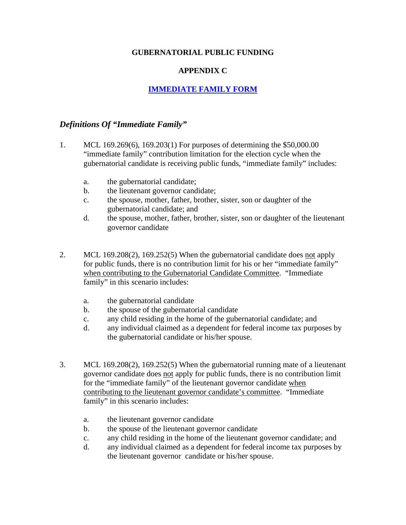## **GUBERNATORIAL PUBLIC FUNDING**

## **APPENDIX C**

## **[IMMEDIATE FAMILY FORM](http://w3.michigan.gov/documents/sos/Immediate_Family_2_278336_7.pdf)**

## *Definitions Of "Immediate Family"*

- 1. MCL 169.269(6), 169.203(1) For purposes of determining the \$50,000.00 "immediate family" contribution limitation for the election cycle when the gubernatorial candidate is receiving public funds, "immediate family" includes:
	- a. the gubernatorial candidate;
	- b. the lieutenant governor candidate;
	- c. the spouse, mother, father, brother, sister, son or daughter of the gubernatorial candidate; and
	- d. the spouse, mother, father, brother, sister, son or daughter of the lieutenant governor candidate
- 2. MCL 169.208(2), 169.252(5) When the gubernatorial candidate does not apply for public funds, there is no contribution limit for his or her "immediate family" when contributing to the Gubernatorial Candidate Committee. "Immediate family" in this scenario includes:
	- a. the gubernatorial candidate
	- b. the spouse of the gubernatorial candidate
	- c. any child residing in the home of the gubernatorial candidate; and
	- d. any individual claimed as a dependent for federal income tax purposes by the gubernatorial candidate or his/her spouse.
- 3. MCL 169.208(2), 169.252(5) When the gubernatorial running mate of a lieutenant governor candidate does not apply for public funds, there is no contribution limit for the "immediate family" of the lieutenant governor candidate when contributing to the lieutenant governor candidate's committee. "Immediate family" in this scenario includes:
	- a. the lieutenant governor candidate
	- b. the spouse of the lieutenant governor candidate
	- c. any child residing in the home of the lieutenant governor candidate; and
	- d. any individual claimed as a dependent for federal income tax purposes by the lieutenant governor candidate or his/her spouse.